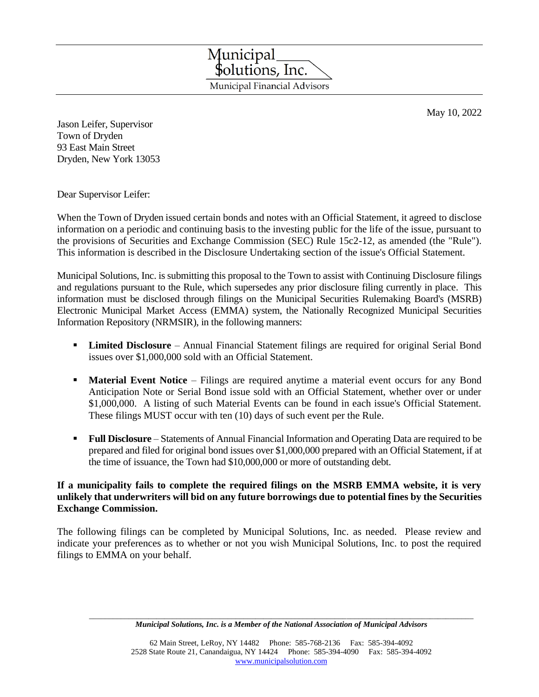Municipal<br>\$olutions, Inc. Municipal Financial Advisors

May 10, 2022

Jason Leifer, Supervisor Town of Dryden 93 East Main Street Dryden, New York 13053

Dear Supervisor Leifer:

When the Town of Dryden issued certain bonds and notes with an Official Statement, it agreed to disclose information on a periodic and continuing basis to the investing public for the life of the issue, pursuant to the provisions of Securities and Exchange Commission (SEC) Rule 15c2-12, as amended (the "Rule"). This information is described in the Disclosure Undertaking section of the issue's Official Statement.

Municipal Solutions, Inc. is submitting this proposal to the Town to assist with Continuing Disclosure filings and regulations pursuant to the Rule, which supersedes any prior disclosure filing currently in place. This information must be disclosed through filings on the Municipal Securities Rulemaking Board's (MSRB) Electronic Municipal Market Access (EMMA) system, the Nationally Recognized Municipal Securities Information Repository (NRMSIR), in the following manners:

- **Limited Disclosure**  Annual Financial Statement filings are required for original Serial Bond issues over \$1,000,000 sold with an Official Statement.
- **Material Event Notice** Filings are required anytime a material event occurs for any Bond Anticipation Note or Serial Bond issue sold with an Official Statement, whether over or under \$1,000,000. A listing of such Material Events can be found in each issue's Official Statement. These filings MUST occur with ten (10) days of such event per the Rule.
- **Full Disclosure** Statements of Annual Financial Information and Operating Data are required to be prepared and filed for original bond issues over \$1,000,000 prepared with an Official Statement, if at the time of issuance, the Town had \$10,000,000 or more of outstanding debt.

## **If a municipality fails to complete the required filings on the MSRB EMMA website, it is very unlikely that underwriters will bid on any future borrowings due to potential fines by the Securities Exchange Commission.**

The following filings can be completed by Municipal Solutions, Inc. as needed. Please review and indicate your preferences as to whether or not you wish Municipal Solutions, Inc. to post the required filings to EMMA on your behalf.

 $\Box$ *Municipal Solutions, Inc. is a Member of the National Association of Municipal Advisors*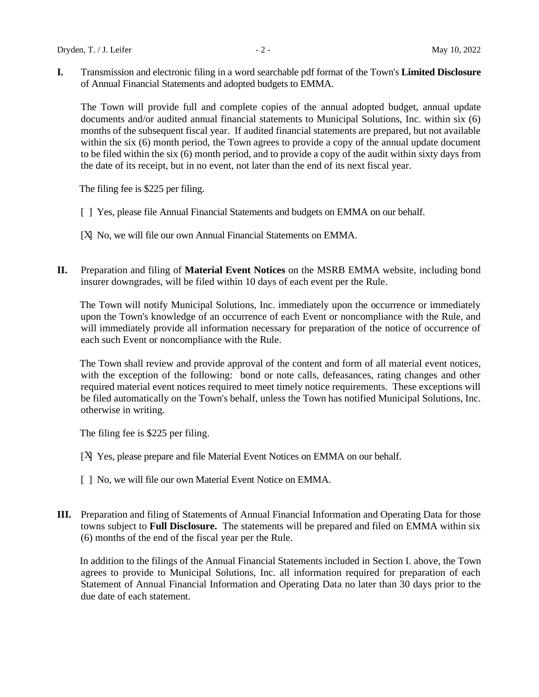**I.** Transmission and electronic filing in a word searchable pdf format of the Town's **Limited Disclosure** of Annual Financial Statements and adopted budgets to EMMA.

The Town will provide full and complete copies of the annual adopted budget, annual update documents and/or audited annual financial statements to Municipal Solutions, Inc. within six (6) months of the subsequent fiscal year. If audited financial statements are prepared, but not available within the six (6) month period, the Town agrees to provide a copy of the annual update document to be filed within the six (6) month period, and to provide a copy of the audit within sixty days from the date of its receipt, but in no event, not later than the end of its next fiscal year.

The filing fee is \$225 per filing.

- [ ] Yes, please file Annual Financial Statements and budgets on EMMA on our behalf.
- [X] No, we will file our own Annual Financial Statements on EMMA.
- **II.** Preparation and filing of **Material Event Notices** on the MSRB EMMA website, including bond insurer downgrades, will be filed within 10 days of each event per the Rule.

The Town will notify Municipal Solutions, Inc. immediately upon the occurrence or immediately upon the Town's knowledge of an occurrence of each Event or noncompliance with the Rule, and will immediately provide all information necessary for preparation of the notice of occurrence of each such Event or noncompliance with the Rule.

The Town shall review and provide approval of the content and form of all material event notices, with the exception of the following: bond or note calls, defeasances, rating changes and other required material event notices required to meet timely notice requirements. These exceptions will be filed automatically on the Town's behalf, unless the Town has notified Municipal Solutions, Inc. otherwise in writing.

The filing fee is \$225 per filing.

- [ $X$ ] Yes, please prepare and file Material Event Notices on EMMA on our behalf.
- [ ] No, we will file our own Material Event Notice on EMMA.
- **III.** Preparation and filing of Statements of Annual Financial Information and Operating Data for those towns subject to **Full Disclosure.** The statements will be prepared and filed on EMMA within six (6) months of the end of the fiscal year per the Rule.

 In addition to the filings of the Annual Financial Statements included in Section I. above, the Town agrees to provide to Municipal Solutions, Inc. all information required for preparation of each Statement of Annual Financial Information and Operating Data no later than 30 days prior to the due date of each statement.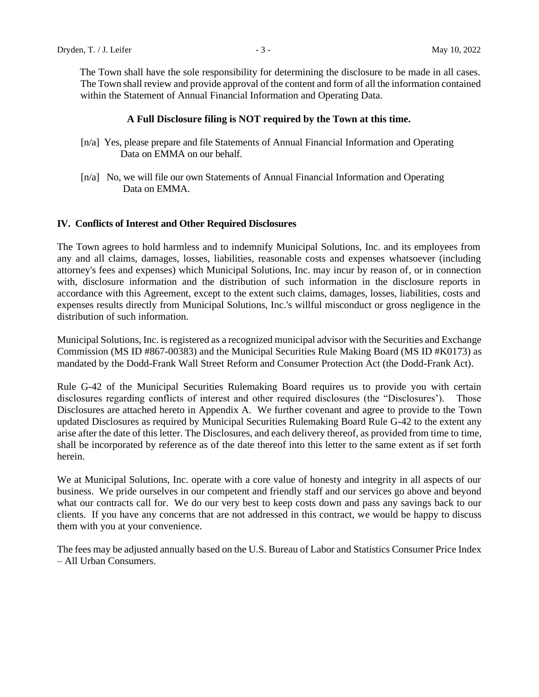The Town shall have the sole responsibility for determining the disclosure to be made in all cases. The Town shall review and provide approval of the content and form of all the information contained within the Statement of Annual Financial Information and Operating Data.

#### **A Full Disclosure filing is NOT required by the Town at this time.**

- [n/a] Yes, please prepare and file Statements of Annual Financial Information and Operating Data on EMMA on our behalf.
- [n/a] No, we will file our own Statements of Annual Financial Information and Operating Data on EMMA.

#### **IV. Conflicts of Interest and Other Required Disclosures**

The Town agrees to hold harmless and to indemnify Municipal Solutions, Inc. and its employees from any and all claims, damages, losses, liabilities, reasonable costs and expenses whatsoever (including attorney's fees and expenses) which Municipal Solutions, Inc. may incur by reason of, or in connection with, disclosure information and the distribution of such information in the disclosure reports in accordance with this Agreement, except to the extent such claims, damages, losses, liabilities, costs and expenses results directly from Municipal Solutions, Inc.'s willful misconduct or gross negligence in the distribution of such information.

Municipal Solutions, Inc. is registered as a recognized municipal advisor with the Securities and Exchange Commission (MS ID #867-00383) and the Municipal Securities Rule Making Board (MS ID #K0173) as mandated by the Dodd-Frank Wall Street Reform and Consumer Protection Act (the Dodd-Frank Act).

Rule G-42 of the Municipal Securities Rulemaking Board requires us to provide you with certain disclosures regarding conflicts of interest and other required disclosures (the "Disclosures'). Those Disclosures are attached hereto in Appendix A. We further covenant and agree to provide to the Town updated Disclosures as required by Municipal Securities Rulemaking Board Rule G-42 to the extent any arise after the date of this letter. The Disclosures, and each delivery thereof, as provided from time to time, shall be incorporated by reference as of the date thereof into this letter to the same extent as if set forth herein.

We at Municipal Solutions, Inc. operate with a core value of honesty and integrity in all aspects of our business. We pride ourselves in our competent and friendly staff and our services go above and beyond what our contracts call for. We do our very best to keep costs down and pass any savings back to our clients. If you have any concerns that are not addressed in this contract, we would be happy to discuss them with you at your convenience.

The fees may be adjusted annually based on the U.S. Bureau of Labor and Statistics Consumer Price Index – All Urban Consumers.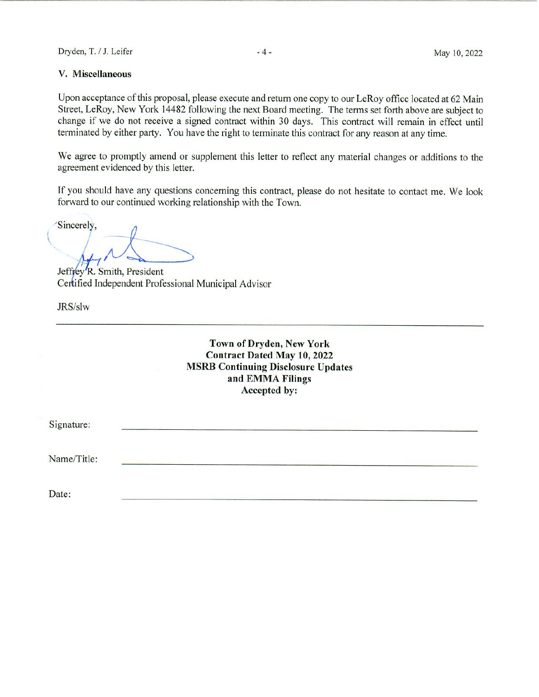#### V. Miscellaneous

Upon acceptance of this proposal, please execute and return one copy to our LeRoy office located at 62 Main Street, LeRoy, New York 14482 following the next Board meeting. The terms set forth above are subject to change if we do not receive a signed contract within 30 days. This contract will remain in effect until terminated by either party. You have the right to terminate this contract for any reason at any time.

We agree to promptly amend or supplement this letter to reflect any material changes or additions to the agreement evidenced by this letter.

If you should have any questions concerning this contract, please do not hesitate to contact me. We look forward to our continued working relationship with the Town.

Sincerely.

Jeffrey R. Smith, President Certified Independent Professional Municipal Advisor

JRS/slw

# Town of Dryden, New York **Contract Dated May 10, 2022 MSRB Continuing Disclosure Updates** and EMMA Filings Accepted by:

Signature:

Name/Title:

Date: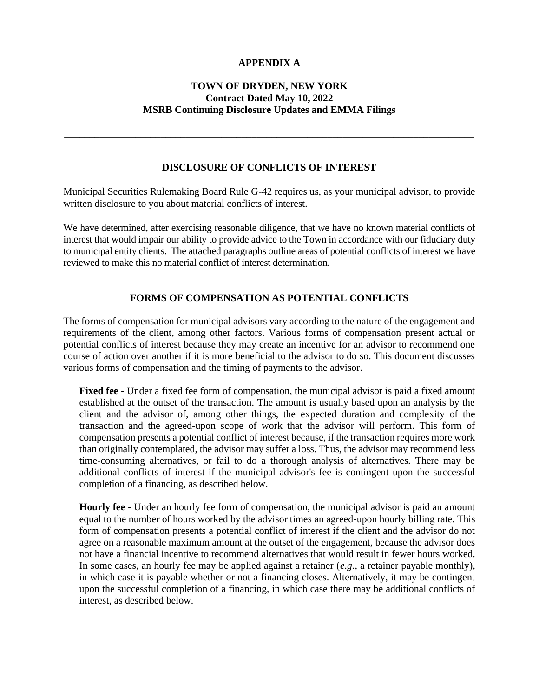## **APPENDIX A**

## **TOWN OF DRYDEN, NEW YORK Contract Dated May 10, 2022 MSRB Continuing Disclosure Updates and EMMA Filings**

## **DISCLOSURE OF CONFLICTS OF INTEREST**

\_\_\_\_\_\_\_\_\_\_\_\_\_\_\_\_\_\_\_\_\_\_\_\_\_\_\_\_\_\_\_\_\_\_\_\_\_\_\_\_\_\_\_\_\_\_\_\_\_\_\_\_\_\_\_\_\_\_\_\_\_\_\_\_\_\_\_\_\_\_\_\_\_\_\_\_\_\_\_\_\_

Municipal Securities Rulemaking Board Rule G-42 requires us, as your municipal advisor, to provide written disclosure to you about material conflicts of interest.

We have determined, after exercising reasonable diligence, that we have no known material conflicts of interest that would impair our ability to provide advice to the Town in accordance with our fiduciary duty to municipal entity clients. The attached paragraphs outline areas of potential conflicts of interest we have reviewed to make this no material conflict of interest determination.

## **FORMS OF COMPENSATION AS POTENTIAL CONFLICTS**

The forms of compensation for municipal advisors vary according to the nature of the engagement and requirements of the client, among other factors. Various forms of compensation present actual or potential conflicts of interest because they may create an incentive for an advisor to recommend one course of action over another if it is more beneficial to the advisor to do so. This document discusses various forms of compensation and the timing of payments to the advisor.

**Fixed fee -** Under a fixed fee form of compensation, the municipal advisor is paid a fixed amount established at the outset of the transaction. The amount is usually based upon an analysis by the client and the advisor of, among other things, the expected duration and complexity of the transaction and the agreed-upon scope of work that the advisor will perform. This form of compensation presents a potential conflict of interest because, if the transaction requires more work than originally contemplated, the advisor may suffer a loss. Thus, the advisor may recommend less time-consuming alternatives, or fail to do a thorough analysis of alternatives. There may be additional conflicts of interest if the municipal advisor's fee is contingent upon the successful completion of a financing, as described below.

**Hourly fee -** Under an hourly fee form of compensation, the municipal advisor is paid an amount equal to the number of hours worked by the advisor times an agreed-upon hourly billing rate. This form of compensation presents a potential conflict of interest if the client and the advisor do not agree on a reasonable maximum amount at the outset of the engagement, because the advisor does not have a financial incentive to recommend alternatives that would result in fewer hours worked. In some cases, an hourly fee may be applied against a retainer (*e.g.*, a retainer payable monthly), in which case it is payable whether or not a financing closes. Alternatively, it may be contingent upon the successful completion of a financing, in which case there may be additional conflicts of interest, as described below.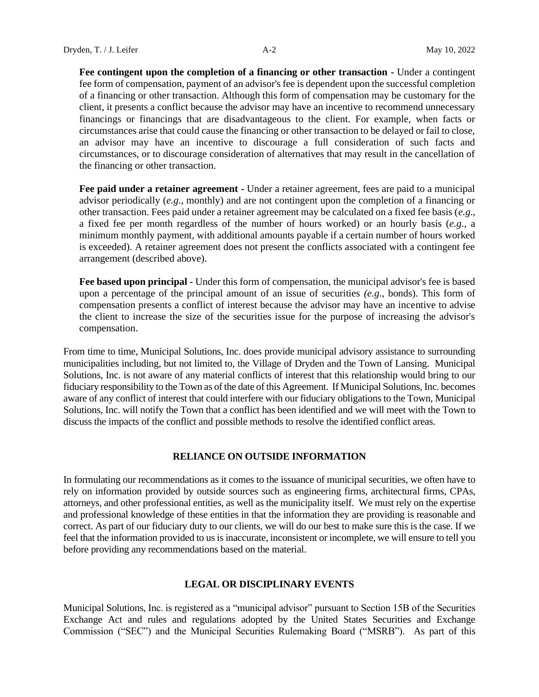**Fee contingent upon the completion of a financing or other transaction -** Under a contingent fee form of compensation, payment of an advisor's fee is dependent upon the successful completion of a financing or other transaction. Although this form of compensation may be customary for the client, it presents a conflict because the advisor may have an incentive to recommend unnecessary financings or financings that are disadvantageous to the client. For example, when facts or circumstances arise that could cause the financing or other transaction to be delayed or fail to close, an advisor may have an incentive to discourage a full consideration of such facts and circumstances, or to discourage consideration of alternatives that may result in the cancellation of the financing or other transaction.

**Fee paid under a retainer agreement -** Under a retainer agreement, fees are paid to a municipal advisor periodically (*e.g*., monthly) and are not contingent upon the completion of a financing or other transaction. Fees paid under a retainer agreement may be calculated on a fixed fee basis (*e.g*., a fixed fee per month regardless of the number of hours worked) or an hourly basis (*e.g*., a minimum monthly payment, with additional amounts payable if a certain number of hours worked is exceeded). A retainer agreement does not present the conflicts associated with a contingent fee arrangement (described above).

**Fee based upon principal -** Under this form of compensation, the municipal advisor's fee is based upon a percentage of the principal amount of an issue of securities *(e.g*., bonds). This form of compensation presents a conflict of interest because the advisor may have an incentive to advise the client to increase the size of the securities issue for the purpose of increasing the advisor's compensation.

From time to time, Municipal Solutions, Inc. does provide municipal advisory assistance to surrounding municipalities including, but not limited to, the Village of Dryden and the Town of Lansing. Municipal Solutions, Inc. is not aware of any material conflicts of interest that this relationship would bring to our fiduciary responsibility to the Town as of the date of this Agreement. If Municipal Solutions, Inc. becomes aware of any conflict of interest that could interfere with our fiduciary obligations to the Town, Municipal Solutions, Inc. will notify the Town that a conflict has been identified and we will meet with the Town to discuss the impacts of the conflict and possible methods to resolve the identified conflict areas.

#### **RELIANCE ON OUTSIDE INFORMATION**

In formulating our recommendations as it comes to the issuance of municipal securities, we often have to rely on information provided by outside sources such as engineering firms, architectural firms, CPAs, attorneys, and other professional entities, as well as the municipality itself. We must rely on the expertise and professional knowledge of these entities in that the information they are providing is reasonable and correct. As part of our fiduciary duty to our clients, we will do our best to make sure this is the case. If we feel that the information provided to us is inaccurate, inconsistent or incomplete, we will ensure to tell you before providing any recommendations based on the material.

#### **LEGAL OR DISCIPLINARY EVENTS**

Municipal Solutions, Inc. is registered as a "municipal advisor" pursuant to Section 15B of the Securities Exchange Act and rules and regulations adopted by the United States Securities and Exchange Commission ("SEC") and the Municipal Securities Rulemaking Board ("MSRB"). As part of this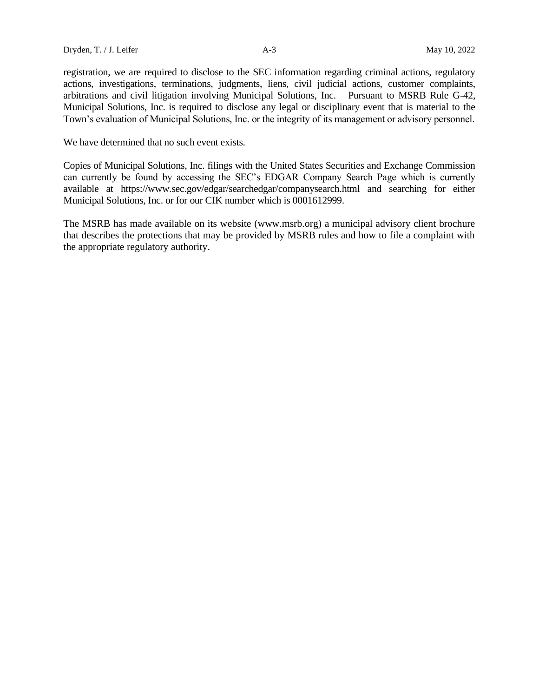registration, we are required to disclose to the SEC information regarding criminal actions, regulatory actions, investigations, terminations, judgments, liens, civil judicial actions, customer complaints, arbitrations and civil litigation involving Municipal Solutions, Inc. Pursuant to MSRB Rule G-42, Municipal Solutions, Inc. is required to disclose any legal or disciplinary event that is material to the Town's evaluation of Municipal Solutions, Inc. or the integrity of its management or advisory personnel.

We have determined that no such event exists.

Copies of Municipal Solutions, Inc. filings with the United States Securities and Exchange Commission can currently be found by accessing the SEC's EDGAR Company Search Page which is currently available at <https://www.sec.gov/edgar/searchedgar/companysearch.html> and searching for either Municipal Solutions, Inc. or for our CIK number which is 0001612999.

The MSRB has made available on its website (www.msrb.org) a municipal advisory client brochure that describes the protections that may be provided by MSRB rules and how to file a complaint with the appropriate regulatory authority.